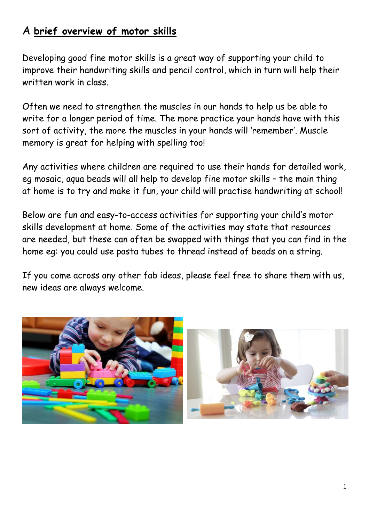# A **brief overview of motor skills**

Developing good fine motor skills is a great way of supporting your child to improve their handwriting skills and pencil control, which in turn will help their written work in class.

Often we need to strengthen the muscles in our hands to help us be able to write for a longer period of time. The more practice your hands have with this sort of activity, the more the muscles in your hands will 'remember'. Muscle memory is great for helping with spelling too!

Any activities where children are required to use their hands for detailed work, eg mosaic, aqua beads will all help to develop fine motor skills – the main thing at home is to try and make it fun, your child will practise handwriting at school!

Below are fun and easy-to-access activities for supporting your child's motor skills development at home. Some of the activities may state that resources are needed, but these can often be swapped with things that you can find in the home eg: you could use pasta tubes to thread instead of beads on a string.

If you come across any other fab ideas, please feel free to share them with us, new ideas are always welcome.

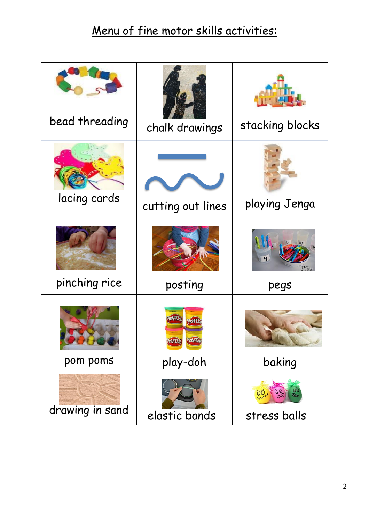# Menu of fine motor skills activities:

| bead threading  | chalk drawings    | stacking blocks |
|-----------------|-------------------|-----------------|
| lacing cards    | cutting out lines | playing Jenga   |
| pinching rice   | posting           | pegs            |
| pom poms        | play-doh          | baking          |
| drawing in sand | elastic bands     | stress balls    |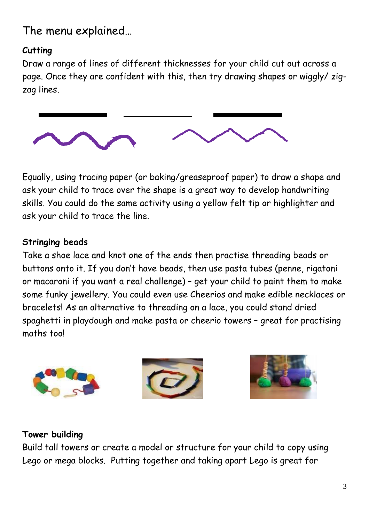The menu explained…

### **Cutting**

Draw a range of lines of different thicknesses for your child cut out across a page. Once they are confident with this, then try drawing shapes or wiggly/ zigzag lines.



Equally, using tracing paper (or baking/greaseproof paper) to draw a shape and ask your child to trace over the shape is a great way to develop handwriting skills. You could do the same activity using a yellow felt tip or highlighter and ask your child to trace the line.

#### **Stringing beads**

Take a shoe lace and knot one of the ends then practise threading beads or buttons onto it. If you don't have beads, then use pasta tubes (penne, rigatoni or macaroni if you want a real challenge) – get your child to paint them to make some funky jewellery. You could even use Cheerios and make edible necklaces or bracelets! As an alternative to threading on a lace, you could stand dried spaghetti in playdough and make pasta or cheerio towers – great for practising maths too!



#### **Tower building**

Build tall towers or create a model or structure for your child to copy using Lego or mega blocks. Putting together and taking apart Lego is great for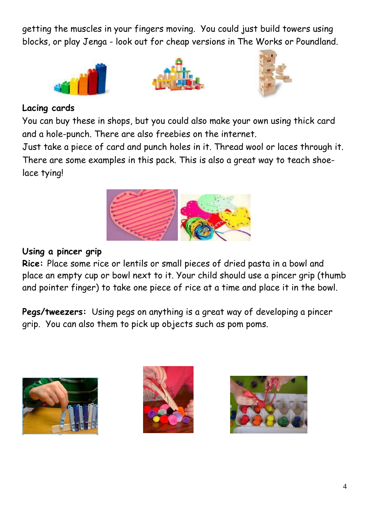getting the muscles in your fingers moving. You could just build towers using blocks, or play Jenga - look out for cheap versions in The Works or Poundland.







#### **Lacing cards**

You can buy these in shops, but you could also make your own using thick card and a hole-punch. There are also freebies on the internet.

Just take a piece of card and punch holes in it. Thread wool or laces through it. There are some examples in this pack. This is also a great way to teach shoelace tying!



#### **Using a pincer grip**

**Rice:** Place some rice or lentils or small pieces of dried pasta in a bowl and place an empty cup or bowl next to it. Your child should use a pincer grip (thumb and pointer finger) to take one piece of rice at a time and place it in the bowl.

**Pegs/tweezers:** Using pegs on anything is a great way of developing a pincer grip. You can also them to pick up objects such as pom poms.





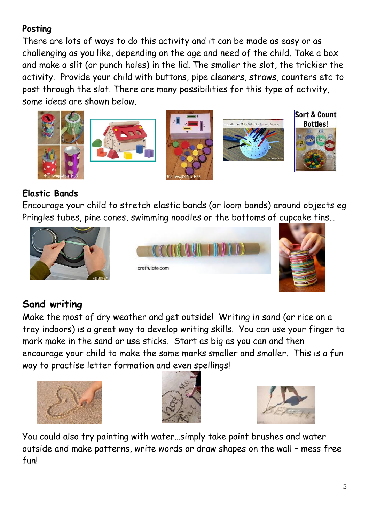### **Posting**

There are lots of ways to do this activity and it can be made as easy or as challenging as you like, depending on the age and need of the child. Take a box and make a slit (or punch holes) in the lid. The smaller the slot, the trickier the activity. Provide your child with buttons, pipe cleaners, straws, counters etc to post through the slot. There are many possibilities for this type of activity, some ideas are shown below.











## **Elastic Bands**

Encourage your child to stretch elastic bands (or loom bands) around objects eg Pringles tubes, pine cones, swimming noodles or the bottoms of cupcake tins…



# **Sand writing**

Make the most of dry weather and get outside! Writing in sand (or rice on a tray indoors) is a great way to develop writing skills. You can use your finger to mark make in the sand or use sticks. Start as big as you can and then encourage your child to make the same marks smaller and smaller. This is a fun way to practise letter formation and even spellings!







You could also try painting with water…simply take paint brushes and water outside and make patterns, write words or draw shapes on the wall – mess free fun!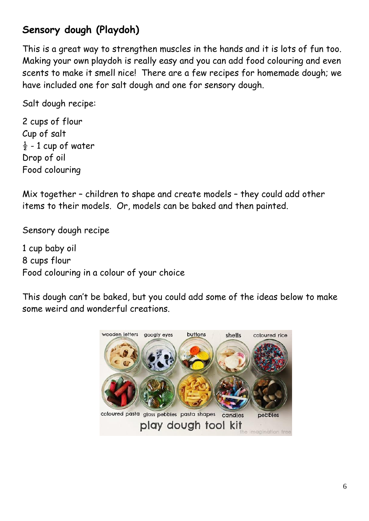# **Sensory dough (Playdoh)**

This is a great way to strengthen muscles in the hands and it is lots of fun too. Making your own playdoh is really easy and you can add food colouring and even scents to make it smell nice! There are a few recipes for homemade dough; we have included one for salt dough and one for sensory dough.

Salt dough recipe:

2 cups of flour Cup of salt  $\frac{1}{2}$  - 1 cup of water Drop of oil Food colouring

Mix together – children to shape and create models – they could add other items to their models. Or, models can be baked and then painted.

Sensory dough recipe

1 cup baby oil 8 cups flour Food colouring in a colour of your choice

This dough can't be baked, but you could add some of the ideas below to make some weird and wonderful creations.

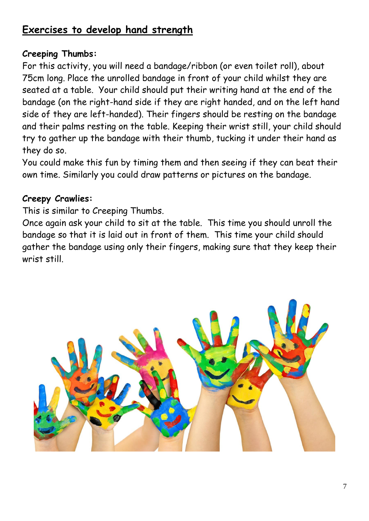# **Exercises to develop hand strength**

#### **Creeping Thumbs:**

For this activity, you will need a bandage/ribbon (or even toilet roll), about 75cm long. Place the unrolled bandage in front of your child whilst they are seated at a table. Your child should put their writing hand at the end of the bandage (on the right-hand side if they are right handed, and on the left hand side of they are left-handed). Their fingers should be resting on the bandage and their palms resting on the table. Keeping their wrist still, your child should try to gather up the bandage with their thumb, tucking it under their hand as they do so.

You could make this fun by timing them and then seeing if they can beat their own time. Similarly you could draw patterns or pictures on the bandage.

#### **Creepy Crawlies:**

This is similar to Creeping Thumbs.

Once again ask your child to sit at the table. This time you should unroll the bandage so that it is laid out in front of them. This time your child should gather the bandage using only their fingers, making sure that they keep their wrist still.